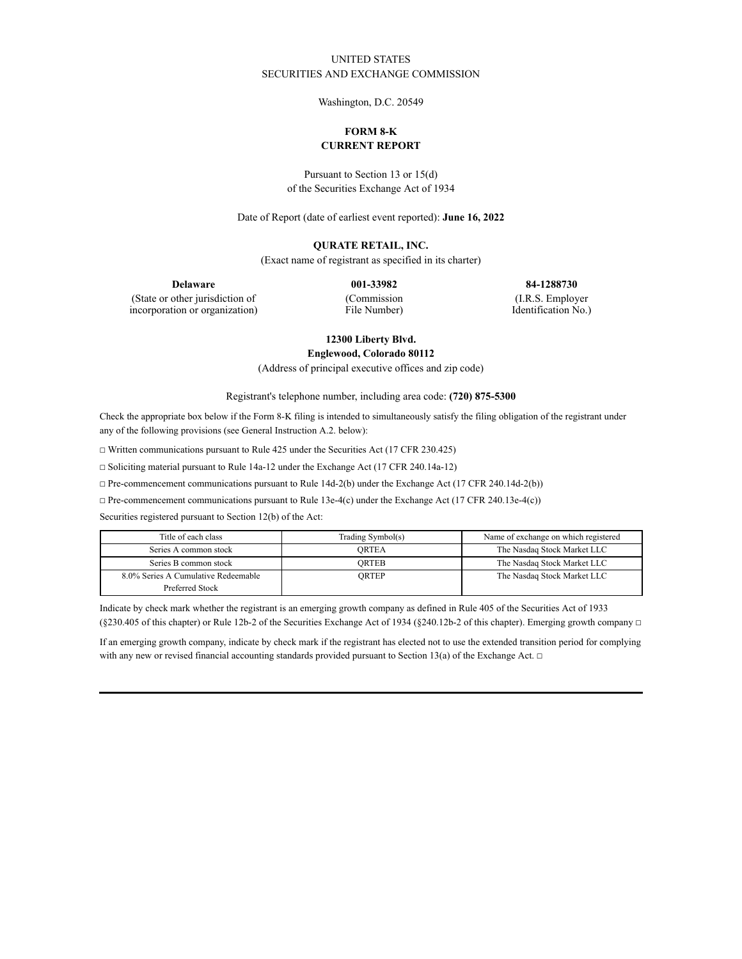## UNITED STATES SECURITIES AND EXCHANGE COMMISSION

Washington, D.C. 20549

# **FORM 8-K CURRENT REPORT**

Pursuant to Section 13 or 15(d) of the Securities Exchange Act of 1934

Date of Report (date of earliest event reported): **June 16, 2022**

### **QURATE RETAIL, INC.**

(Exact name of registrant as specified in its charter)

**Delaware 001-33982 84-1288730**

(State or other jurisdiction of incorporation or organization) (Commission File Number)

(I.R.S. Employer Identification No.)

**12300 Liberty Blvd.**

**Englewood, Colorado 80112**

(Address of principal executive offices and zip code)

Registrant's telephone number, including area code: **(720) 875-5300**

Check the appropriate box below if the Form 8-K filing is intended to simultaneously satisfy the filing obligation of the registrant under any of the following provisions (see General Instruction A.2. below):

☐ Written communications pursuant to Rule 425 under the Securities Act (17 CFR 230.425)

☐ Soliciting material pursuant to Rule 14a-12 under the Exchange Act (17 CFR 240.14a-12)

☐ Pre-commencement communications pursuant to Rule 14d-2(b) under the Exchange Act (17 CFR 240.14d-2(b))

☐ Pre-commencement communications pursuant to Rule 13e-4(c) under the Exchange Act (17 CFR 240.13e-4(c))

Securities registered pursuant to Section 12(b) of the Act:

| Title of each class                 | Trading Symbol(s) | Name of exchange on which registered |
|-------------------------------------|-------------------|--------------------------------------|
| Series A common stock               | ORTEA             | The Nasdaq Stock Market LLC          |
| Series B common stock               | ORTEB             | The Nasdaq Stock Market LLC          |
| 8.0% Series A Cumulative Redeemable | ORTEP             | The Nasdaq Stock Market LLC          |
| Preferred Stock                     |                   |                                      |

Indicate by check mark whether the registrant is an emerging growth company as defined in Rule 405 of the Securities Act of 1933 (§230.405 of this chapter) or Rule 12b-2 of the Securities Exchange Act of 1934 (§240.12b-2 of this chapter). Emerging growth company  $\Box$ 

If an emerging growth company, indicate by check mark if the registrant has elected not to use the extended transition period for complying with any new or revised financial accounting standards provided pursuant to Section 13(a) of the Exchange Act.  $\Box$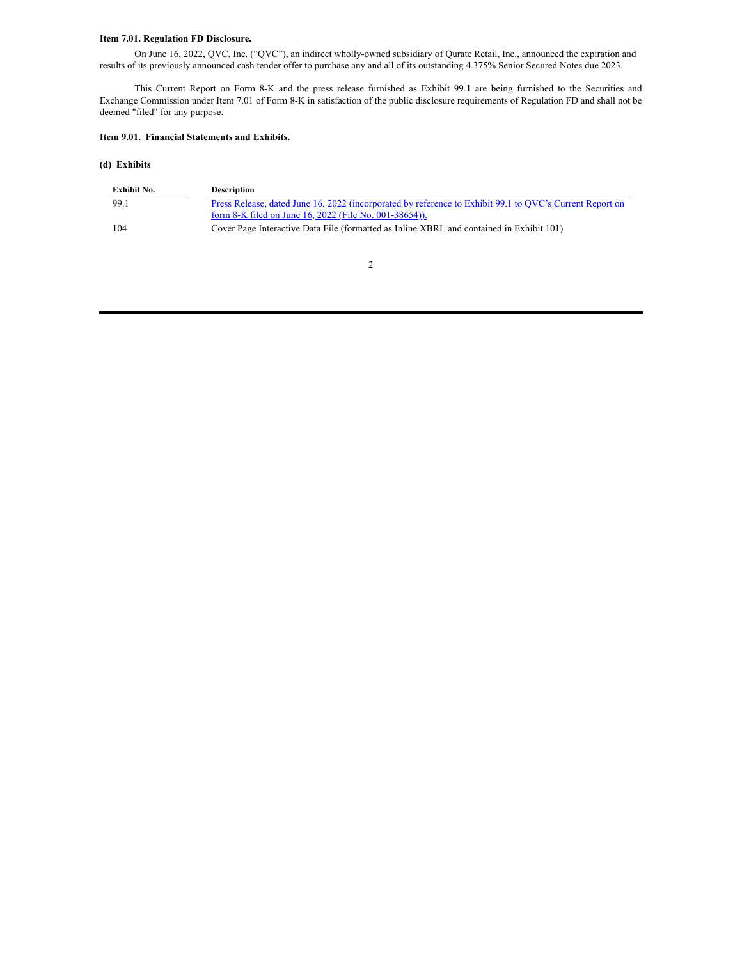### **Item 7.01. Regulation FD Disclosure.**

On June 16, 2022, QVC, Inc. ("QVC"), an indirect wholly-owned subsidiary of Qurate Retail, Inc., announced the expiration and results of its previously announced cash tender offer to purchase any and all of its outstanding 4.375% Senior Secured Notes due 2023.

This Current Report on Form 8-K and the press release furnished as Exhibit 99.1 are being furnished to the Securities and Exchange Commission under Item 7.01 of Form 8-K in satisfaction of the public disclosure requirements of Regulation FD and shall not be deemed "filed" for any purpose.

#### **Item 9.01. Financial Statements and Exhibits.**

## **(d) Exhibits**

| Exhibit No. | <b>Description</b>                                                                                              |
|-------------|-----------------------------------------------------------------------------------------------------------------|
| 99.1        | <u>Press Release, dated June 16, 2022 (incorporated by reference to Exhibit 99.1 to QVC's Current Report on</u> |
|             | form 8-K filed on June 16, 2022 (File No. 001-38654)).                                                          |
| 104         | Cover Page Interactive Data File (formatted as Inline XBRL and contained in Exhibit 101)                        |

2